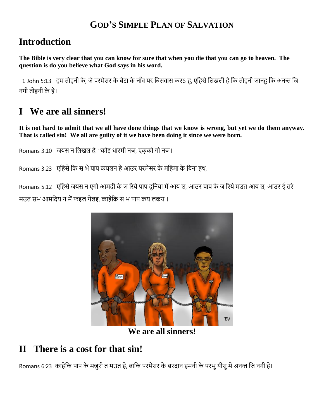#### **GOD'S SIMPLE PLAN OF SALVATION**

## **Introduction**

**The Bible is very clear that you can know for sure that when you die that you can go to heaven. The question is do you believe what God says in his word.**

 1 John 5:13हम तोहनी के, जेपरमेसर के बेटा के नााँव पर बबसवास करऽ हु, एबहसेबिखिी हेबक तोहनी जानहु बक अनन्त बज नगी तोहनी के हे।

# **I We are all sinners!**

**It is not hard to admit that we all have done things that we know is wrong, but yet we do them anyway. That is called sin! We all are guilty of it we have been doing it since we were born.**

Romans 3:10 जयस न लिखल हे: "कोइ धारमी नञ, एकको गो नञ।

Romans 3:23 एहिसे कि स भे पाप कयलन हे आउर परमेसर के महिमा के बिना हथ,

Romans 5:12 एहिसे जयस न एगो आमदी के ज रिये पाप दुनिया में आय ल, आउर पाप के ज रिये मउत आय ल, आउर ई तरे मउत सभ आमदिय न में फइल गेलइ, काहेकि स भ पाप कय लकय ।



**We are all sinners!**

## **II There is a cost for that sin!**

Romans 6:23) काहेकि पाप के मजुरी त मउत हे, बाकि परमेसर के बरदान हमनी के परभु यीसु में अनन्त जि नगी हे।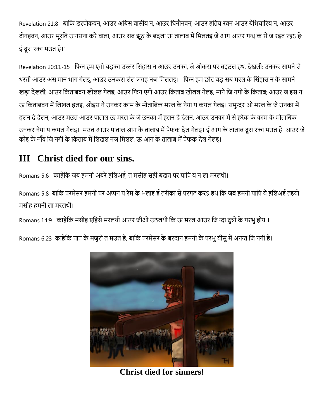Revelation 21:8 बाबक डरपोकवन, आउर अबबस वासीय न, आउर बिनौनवन, आउर हबतय रवन आउर बेबभचाररय न, आउर टोनहवन, आउर मूरति उपासना करे वाला, आउर सब झूठ के बदला ऊ तालाब में मिलतइ जे आग आउर गन्ध् क से ज रइत रहऽ हे: ई दूस रका मउत हे।"

Revelation 20:11-15 फिन हम एगो बड़का उज्जर सिंहास न आउर उनका, जे ओकरा पर बइठल हथ, देखली; उनकर सामने से धरती आउर अस मान भाग गेलइ, आउर उनकरा लेल जगह नञ मिललइ। फिन हम छोट बड़ सब मरल के सिंहास न के सामने खड़ा देखली, आउर किताबवन खोलल गेलइ; आउर फिन एगो आउर किताब खोलल गेलइ, माने जि नगी के किताब; आउर ज इस न ऊ किताबवन में लिखल हलइ, ओइस ने उनकर काम के मोताबिक मरल के नेया य कयल गेलइ। समुन्दर ओ मरल के जे उनका में हलन दे देलन, आउर मउत आउर पाताल ऊ मरल के जे उनका में हलन दे देलन, आउर उनका में से हरेक के काम के मोताबिक उनकर नेया य कयल गेलइ। मउत आउर पाताल आग के तालाब में पेफक देल गेलइ। ई आग के तालाब दूस रका मउत हे आउर जे कोइ के नाँव जि नगी के किताब में लिखल नञ मिलल, ऊ आग के तालाब में पेफक देल गेलइ।

## **III Christ died for our sins.**

Romans 5:6 काहेकि जब हमनी अबरे हलिअई, त मसीह सही बखत पर पापि य न ला मरलथी।

Romans 5:8) बाकि परमेसर हमनी पर अप्पन प रेम के भलाइ ई तरीका से परगट करऽ हथ कि जब हमनी पापि ये हलिअई तइयो मसीह हमनी ला मरलथी।

Romans 14:9 काहेकि मसीह एहिसे मरलथी आउर जीओ उठलथी कि ऊ मरल आउर जि न्दा दुन्नो के परभु होय ।

Romans 6:23) काहेकि पाप के मजुरी त मउत हे, बाकि परमेसर के बरदान हमनी के परभु यीसु में अनन्त जि नगी हे।



**Christ died for sinners!**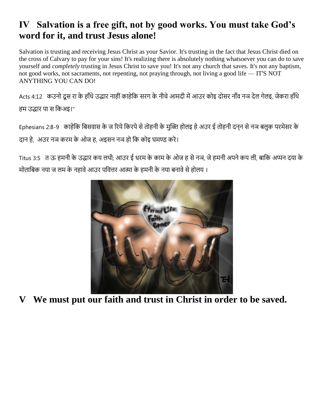## **IV Salvation is a free gift, not by good works. You must take God's word for it, and trust Jesus alone!**

Salvation is trusting and receiving Jesus Christ as your Savior. It's trusting in the fact that Jesus Christ died on the cross of Calvary to pay for your sins! It's realizing there is absolutely nothing whatsoever you can do to save yourself and *completely* trusting in Jesus Christ to save you! It's not any church that saves. It's not any baptism, not good works, not sacraments, not repenting, not praying through, not living a good life — IT'S NOT ANYTHING YOU CAN DO!

Acts 4:12 कउनो दूस रा के हाँथे उद्धार नाहीं काहेकि सरग के नीचे आमदी में आउर कोइ दोसर नाँव नञ देल गेलइ, जेकरा हाँथे हम उद्धार पा स बकअइ।"

Ephesians 2:8-9 काहेकि बिसवास के ज रिये किरपे से तोहनी के मुक्ति होलइ हे अउर ई तोहनी दनन से नञ बलुक परमेसर के दान हे, अउर नञ करम के ओज ह, अइसन नञ हो कि कोइ घमण्ड करे।

Titus 3:5 त ऊ हमनी के उद्धार कय लथी; आउर ई धरम के काम के ओज ह से नञ, जे हमनी अपने कय ली, बाकि अप्पन दया के मोताबिक नया ज लम के नहावे आउर पवित्तर आत्मा के हमनी के नया बनावे से होलय ।



**V We must put our faith and trust in Christ in order to be saved.**